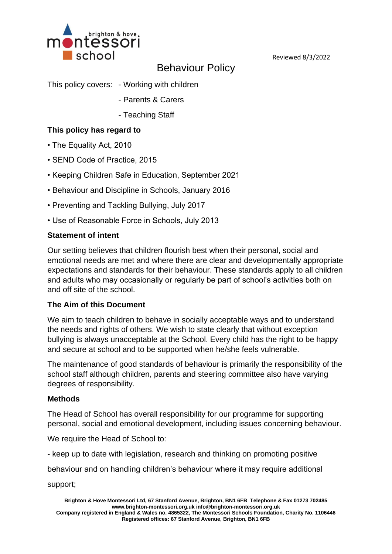

Reviewed 8/3/2022

# Behaviour Policy

This policy covers: - Working with children

- Parents & Carers
- Teaching Staff

### **This policy has regard to**

- The Equality Act, 2010
- SEND Code of Practice, 2015
- Keeping Children Safe in Education, September 2021
- Behaviour and Discipline in Schools, January 2016
- Preventing and Tackling Bullying, July 2017
- Use of Reasonable Force in Schools, July 2013

#### **Statement of intent**

Our setting believes that children flourish best when their personal, social and emotional needs are met and where there are clear and developmentally appropriate expectations and standards for their behaviour. These standards apply to all children and adults who may occasionally or regularly be part of school's activities both on and off site of the school.

#### **The Aim of this Document**

We aim to teach children to behave in socially acceptable ways and to understand the needs and rights of others. We wish to state clearly that without exception bullying is always unacceptable at the School. Every child has the right to be happy and secure at school and to be supported when he/she feels vulnerable.

The maintenance of good standards of behaviour is primarily the responsibility of the school staff although children, parents and steering committee also have varying degrees of responsibility.

#### **Methods**

The Head of School has overall responsibility for our programme for supporting personal, social and emotional development, including issues concerning behaviour.

We require the Head of School to:

- keep up to date with legislation, research and thinking on promoting positive

behaviour and on handling children's behaviour where it may require additional

support;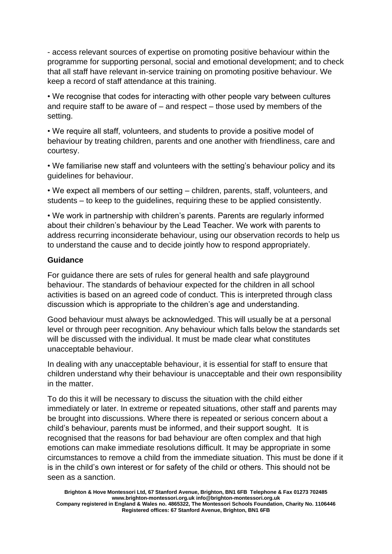- access relevant sources of expertise on promoting positive behaviour within the programme for supporting personal, social and emotional development; and to check that all staff have relevant in-service training on promoting positive behaviour. We keep a record of staff attendance at this training.

• We recognise that codes for interacting with other people vary between cultures and require staff to be aware of – and respect – those used by members of the setting.

• We require all staff, volunteers, and students to provide a positive model of behaviour by treating children, parents and one another with friendliness, care and courtesy.

• We familiarise new staff and volunteers with the setting's behaviour policy and its guidelines for behaviour.

• We expect all members of our setting – children, parents, staff, volunteers, and students – to keep to the guidelines, requiring these to be applied consistently.

• We work in partnership with children's parents. Parents are regularly informed about their children's behaviour by the Lead Teacher. We work with parents to address recurring inconsiderate behaviour, using our observation records to help us to understand the cause and to decide jointly how to respond appropriately.

## **Guidance**

For guidance there are sets of rules for general health and safe playground behaviour. The standards of behaviour expected for the children in all school activities is based on an agreed code of conduct. This is interpreted through class discussion which is appropriate to the children's age and understanding.

Good behaviour must always be acknowledged. This will usually be at a personal level or through peer recognition. Any behaviour which falls below the standards set will be discussed with the individual. It must be made clear what constitutes unacceptable behaviour.

In dealing with any unacceptable behaviour, it is essential for staff to ensure that children understand why their behaviour is unacceptable and their own responsibility in the matter.

To do this it will be necessary to discuss the situation with the child either immediately or later. In extreme or repeated situations, other staff and parents may be brought into discussions. Where there is repeated or serious concern about a child's behaviour, parents must be informed, and their support sought. It is recognised that the reasons for bad behaviour are often complex and that high emotions can make immediate resolutions difficult. It may be appropriate in some circumstances to remove a child from the immediate situation. This must be done if it is in the child's own interest or for safety of the child or others. This should not be seen as a sanction.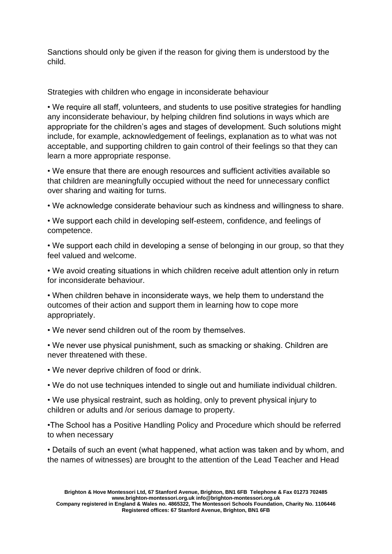Sanctions should only be given if the reason for giving them is understood by the child.

Strategies with children who engage in inconsiderate behaviour

• We require all staff, volunteers, and students to use positive strategies for handling any inconsiderate behaviour, by helping children find solutions in ways which are appropriate for the children's ages and stages of development. Such solutions might include, for example, acknowledgement of feelings, explanation as to what was not acceptable, and supporting children to gain control of their feelings so that they can learn a more appropriate response.

• We ensure that there are enough resources and sufficient activities available so that children are meaningfully occupied without the need for unnecessary conflict over sharing and waiting for turns.

• We acknowledge considerate behaviour such as kindness and willingness to share.

• We support each child in developing self-esteem, confidence, and feelings of competence.

• We support each child in developing a sense of belonging in our group, so that they feel valued and welcome.

• We avoid creating situations in which children receive adult attention only in return for inconsiderate behaviour.

• When children behave in inconsiderate ways, we help them to understand the outcomes of their action and support them in learning how to cope more appropriately.

• We never send children out of the room by themselves.

• We never use physical punishment, such as smacking or shaking. Children are never threatened with these.

• We never deprive children of food or drink.

• We do not use techniques intended to single out and humiliate individual children.

• We use physical restraint, such as holding, only to prevent physical injury to children or adults and /or serious damage to property.

•The School has a Positive Handling Policy and Procedure which should be referred to when necessary

• Details of such an event (what happened, what action was taken and by whom, and the names of witnesses) are brought to the attention of the Lead Teacher and Head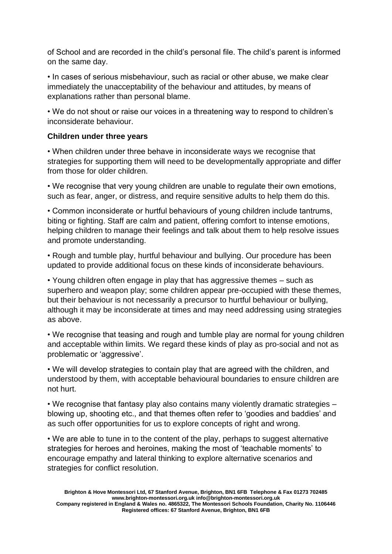of School and are recorded in the child's personal file. The child's parent is informed on the same day.

• In cases of serious misbehaviour, such as racial or other abuse, we make clear immediately the unacceptability of the behaviour and attitudes, by means of explanations rather than personal blame.

• We do not shout or raise our voices in a threatening way to respond to children's inconsiderate behaviour.

#### **Children under three years**

• When children under three behave in inconsiderate ways we recognise that strategies for supporting them will need to be developmentally appropriate and differ from those for older children.

• We recognise that very young children are unable to regulate their own emotions, such as fear, anger, or distress, and require sensitive adults to help them do this.

• Common inconsiderate or hurtful behaviours of young children include tantrums, biting or fighting. Staff are calm and patient, offering comfort to intense emotions, helping children to manage their feelings and talk about them to help resolve issues and promote understanding.

• Rough and tumble play, hurtful behaviour and bullying. Our procedure has been updated to provide additional focus on these kinds of inconsiderate behaviours.

• Young children often engage in play that has aggressive themes – such as superhero and weapon play; some children appear pre-occupied with these themes, but their behaviour is not necessarily a precursor to hurtful behaviour or bullying, although it may be inconsiderate at times and may need addressing using strategies as above.

• We recognise that teasing and rough and tumble play are normal for young children and acceptable within limits. We regard these kinds of play as pro-social and not as problematic or 'aggressive'.

• We will develop strategies to contain play that are agreed with the children, and understood by them, with acceptable behavioural boundaries to ensure children are not hurt.

• We recognise that fantasy play also contains many violently dramatic strategies – blowing up, shooting etc., and that themes often refer to 'goodies and baddies' and as such offer opportunities for us to explore concepts of right and wrong.

• We are able to tune in to the content of the play, perhaps to suggest alternative strategies for heroes and heroines, making the most of 'teachable moments' to encourage empathy and lateral thinking to explore alternative scenarios and strategies for conflict resolution.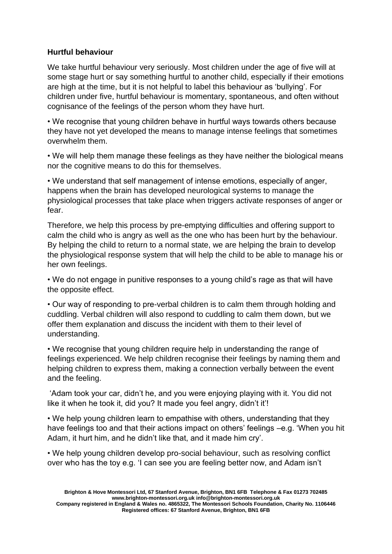#### **Hurtful behaviour**

We take hurtful behaviour very seriously. Most children under the age of five will at some stage hurt or say something hurtful to another child, especially if their emotions are high at the time, but it is not helpful to label this behaviour as 'bullying'. For children under five, hurtful behaviour is momentary, spontaneous, and often without cognisance of the feelings of the person whom they have hurt.

• We recognise that young children behave in hurtful ways towards others because they have not yet developed the means to manage intense feelings that sometimes overwhelm them.

• We will help them manage these feelings as they have neither the biological means nor the cognitive means to do this for themselves.

• We understand that self management of intense emotions, especially of anger, happens when the brain has developed neurological systems to manage the physiological processes that take place when triggers activate responses of anger or fear.

Therefore, we help this process by pre-emptying difficulties and offering support to calm the child who is angry as well as the one who has been hurt by the behaviour. By helping the child to return to a normal state, we are helping the brain to develop the physiological response system that will help the child to be able to manage his or her own feelings.

• We do not engage in punitive responses to a young child's rage as that will have the opposite effect.

• Our way of responding to pre-verbal children is to calm them through holding and cuddling. Verbal children will also respond to cuddling to calm them down, but we offer them explanation and discuss the incident with them to their level of understanding.

• We recognise that young children require help in understanding the range of feelings experienced. We help children recognise their feelings by naming them and helping children to express them, making a connection verbally between the event and the feeling.

'Adam took your car, didn't he, and you were enjoying playing with it. You did not like it when he took it, did you? It made you feel angry, didn't it'!

• We help young children learn to empathise with others, understanding that they have feelings too and that their actions impact on others' feelings –e.g. 'When you hit Adam, it hurt him, and he didn't like that, and it made him cry'.

• We help young children develop pro-social behaviour, such as resolving conflict over who has the toy e.g. 'I can see you are feeling better now, and Adam isn't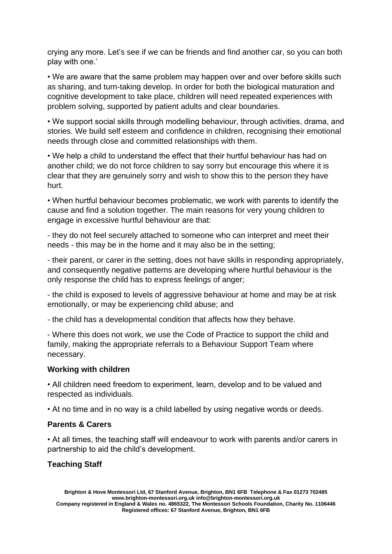crying any more. Let's see if we can be friends and find another car, so you can both play with one.'

• We are aware that the same problem may happen over and over before skills such as sharing, and turn-taking develop. In order for both the biological maturation and cognitive development to take place, children will need repeated experiences with problem solving, supported by patient adults and clear boundaries.

• We support social skills through modelling behaviour, through activities, drama, and stories. We build self esteem and confidence in children, recognising their emotional needs through close and committed relationships with them.

• We help a child to understand the effect that their hurtful behaviour has had on another child; we do not force children to say sorry but encourage this where it is clear that they are genuinely sorry and wish to show this to the person they have hurt.

• When hurtful behaviour becomes problematic, we work with parents to identify the cause and find a solution together. The main reasons for very young children to engage in excessive hurtful behaviour are that:

- they do not feel securely attached to someone who can interpret and meet their needs - this may be in the home and it may also be in the setting;

- their parent, or carer in the setting, does not have skills in responding appropriately, and consequently negative patterns are developing where hurtful behaviour is the only response the child has to express feelings of anger;

- the child is exposed to levels of aggressive behaviour at home and may be at risk emotionally, or may be experiencing child abuse; and

- the child has a developmental condition that affects how they behave.

- Where this does not work, we use the Code of Practice to support the child and family, making the appropriate referrals to a Behaviour Support Team where necessary.

## **Working with children**

• All children need freedom to experiment, learn, develop and to be valued and respected as individuals.

• At no time and in no way is a child labelled by using negative words or deeds.

## **Parents & Carers**

• At all times, the teaching staff will endeavour to work with parents and/or carers in partnership to aid the child's development.

## **Teaching Staff**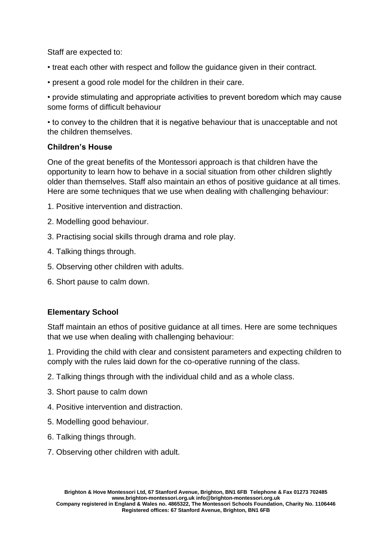Staff are expected to:

- treat each other with respect and follow the guidance given in their contract.
- present a good role model for the children in their care.

• provide stimulating and appropriate activities to prevent boredom which may cause some forms of difficult behaviour

• to convey to the children that it is negative behaviour that is unacceptable and not the children themselves.

## **Children's House**

One of the great benefits of the Montessori approach is that children have the opportunity to learn how to behave in a social situation from other children slightly older than themselves. Staff also maintain an ethos of positive guidance at all times. Here are some techniques that we use when dealing with challenging behaviour:

- 1. Positive intervention and distraction.
- 2. Modelling good behaviour.
- 3. Practising social skills through drama and role play.
- 4. Talking things through.
- 5. Observing other children with adults.
- 6. Short pause to calm down.

## **Elementary School**

Staff maintain an ethos of positive guidance at all times. Here are some techniques that we use when dealing with challenging behaviour:

1. Providing the child with clear and consistent parameters and expecting children to comply with the rules laid down for the co-operative running of the class.

- 2. Talking things through with the individual child and as a whole class.
- 3. Short pause to calm down
- 4. Positive intervention and distraction.
- 5. Modelling good behaviour.
- 6. Talking things through.
- 7. Observing other children with adult.